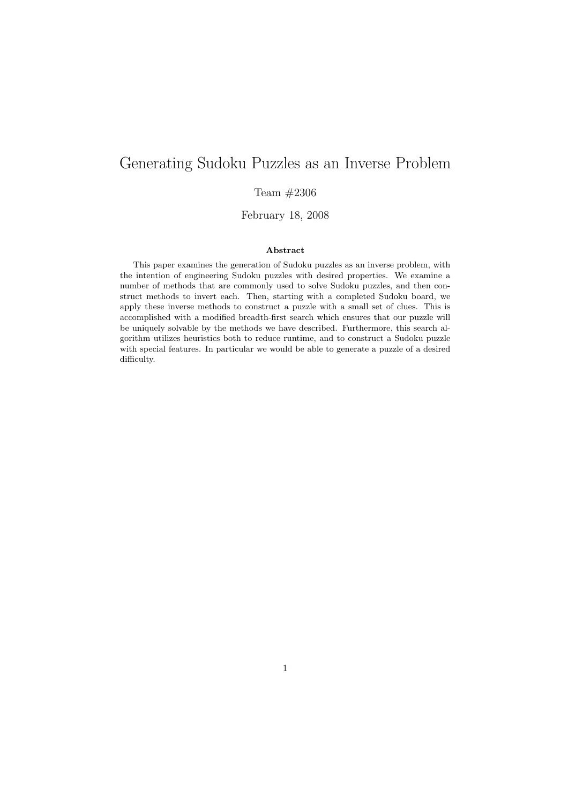# Generating Sudoku Puzzles as an Inverse Problem

## Team #2306

February 18, 2008

### Abstract

This paper examines the generation of Sudoku puzzles as an inverse problem, with the intention of engineering Sudoku puzzles with desired properties. We examine a number of methods that are commonly used to solve Sudoku puzzles, and then construct methods to invert each. Then, starting with a completed Sudoku board, we apply these inverse methods to construct a puzzle with a small set of clues. This is accomplished with a modified breadth-first search which ensures that our puzzle will be uniquely solvable by the methods we have described. Furthermore, this search algorithm utilizes heuristics both to reduce runtime, and to construct a Sudoku puzzle with special features. In particular we would be able to generate a puzzle of a desired difficulty.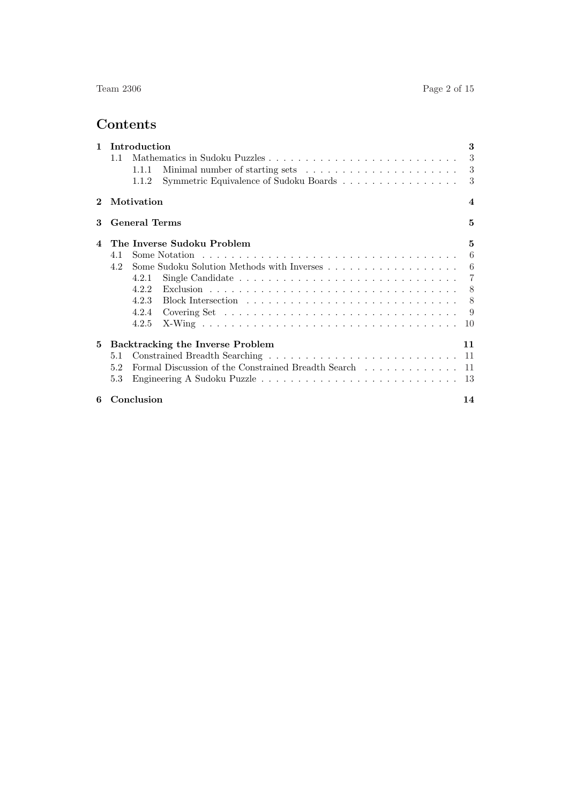# Contents

|            | 1 Introduction                                                                                | 3                       |
|------------|-----------------------------------------------------------------------------------------------|-------------------------|
|            | 1.1                                                                                           |                         |
|            | Minimal number of starting sets $\ldots \ldots \ldots \ldots \ldots \ldots \ldots 3$<br>1.1.1 |                         |
|            | Symmetric Equivalence of Sudoku Boards 3<br>1.1.2                                             |                         |
| $\bf{2}^-$ | Motivation                                                                                    | $\overline{\mathbf{4}}$ |
| 3          | <b>General Terms</b>                                                                          | 5                       |
| 4          | The Inverse Sudoku Problem                                                                    | 5                       |
|            | 4.1                                                                                           | $6\overline{6}$         |
|            | 4.2                                                                                           |                         |
|            | 4.2.1                                                                                         |                         |
|            | 4.2.2                                                                                         |                         |
|            | 4.2.3                                                                                         |                         |
|            |                                                                                               |                         |
|            | 4.2.5                                                                                         |                         |
| 5          | Backtracking the Inverse Problem                                                              | 11                      |
|            | 5.1                                                                                           |                         |
|            | Formal Discussion of the Constrained Breadth Search 11<br>5.2                                 |                         |
|            | 5.3                                                                                           |                         |
| 6          | Conclusion                                                                                    | 14                      |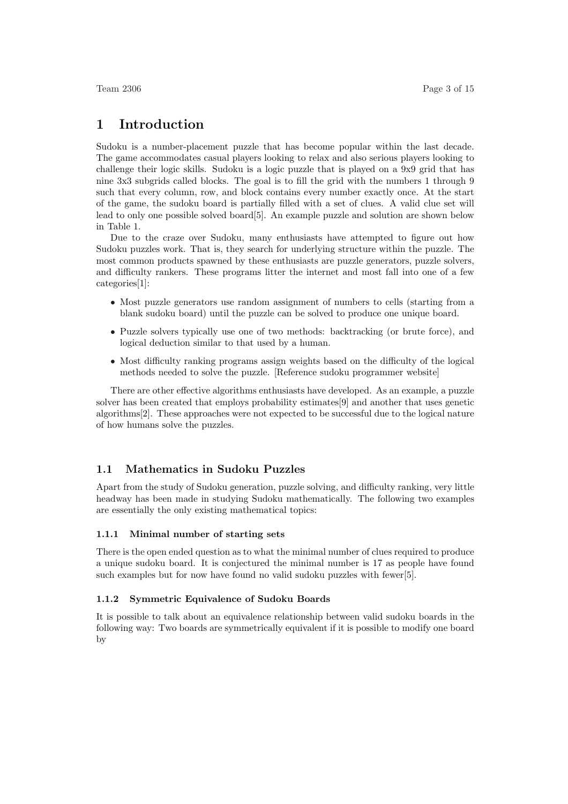## 1 Introduction

Sudoku is a number-placement puzzle that has become popular within the last decade. The game accommodates casual players looking to relax and also serious players looking to challenge their logic skills. Sudoku is a logic puzzle that is played on a 9x9 grid that has nine 3x3 subgrids called blocks. The goal is to fill the grid with the numbers 1 through 9 such that every column, row, and block contains every number exactly once. At the start of the game, the sudoku board is partially filled with a set of clues. A valid clue set will lead to only one possible solved board[5]. An example puzzle and solution are shown below in Table 1.

Due to the craze over Sudoku, many enthusiasts have attempted to figure out how Sudoku puzzles work. That is, they search for underlying structure within the puzzle. The most common products spawned by these enthusiasts are puzzle generators, puzzle solvers, and difficulty rankers. These programs litter the internet and most fall into one of a few categories[1]:

- Most puzzle generators use random assignment of numbers to cells (starting from a blank sudoku board) until the puzzle can be solved to produce one unique board.
- Puzzle solvers typically use one of two methods: backtracking (or brute force), and logical deduction similar to that used by a human.
- Most difficulty ranking programs assign weights based on the difficulty of the logical methods needed to solve the puzzle. [Reference sudoku programmer website]

There are other effective algorithms enthusiasts have developed. As an example, a puzzle solver has been created that employs probability estimates[9] and another that uses genetic algorithms[2]. These approaches were not expected to be successful due to the logical nature of how humans solve the puzzles.

#### 1.1 Mathematics in Sudoku Puzzles

Apart from the study of Sudoku generation, puzzle solving, and difficulty ranking, very little headway has been made in studying Sudoku mathematically. The following two examples are essentially the only existing mathematical topics:

#### 1.1.1 Minimal number of starting sets

There is the open ended question as to what the minimal number of clues required to produce a unique sudoku board. It is conjectured the minimal number is 17 as people have found such examples but for now have found no valid sudoku puzzles with fewer[5].

#### 1.1.2 Symmetric Equivalence of Sudoku Boards

It is possible to talk about an equivalence relationship between valid sudoku boards in the following way: Two boards are symmetrically equivalent if it is possible to modify one board by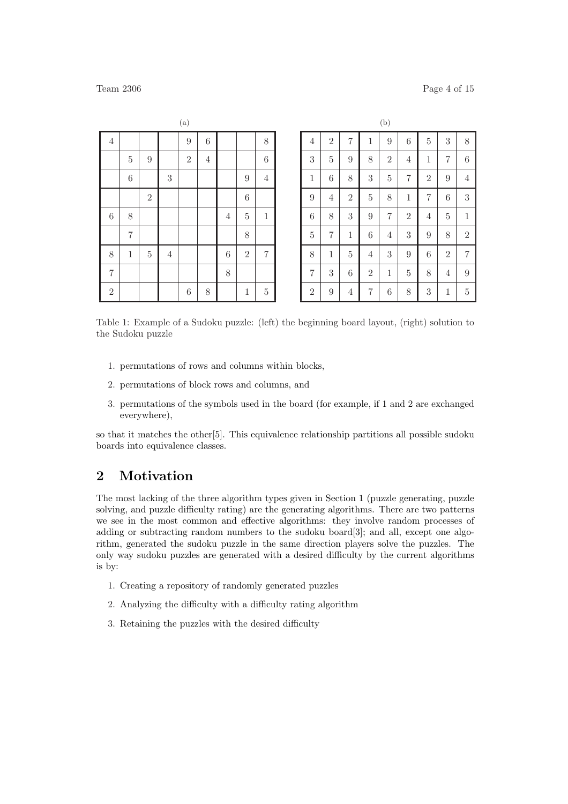| (a)            |                |                |                |                  |                |                |                  |                  |
|----------------|----------------|----------------|----------------|------------------|----------------|----------------|------------------|------------------|
| $\sqrt{4}$     |                |                |                | $\overline{9}$   | $\sqrt{6}$     |                |                  | $8\,$            |
|                | $\bf 5$        | $\overline{9}$ |                | $\overline{2}$   | $\overline{4}$ |                |                  | $\boldsymbol{6}$ |
|                | $\,$ 6 $\,$    |                | $\sqrt{3}$     |                  |                |                | $\boldsymbol{9}$ | $\,4\,$          |
|                |                | $\overline{2}$ |                |                  |                |                | $\,$ 6 $\,$      |                  |
| $\overline{6}$ | $\,$ $\,$      |                |                |                  |                | $\overline{4}$ | $\bf 5$          | $\,1$            |
|                | $\overline{7}$ |                |                |                  |                |                | 8                |                  |
| 8              | $\mathbf 1$    | $\overline{5}$ | $\overline{4}$ |                  |                | $\sqrt{6}$     | $\overline{2}$   | $\overline{7}$   |
| $\overline{7}$ |                |                |                |                  |                | $\,$ $\,$      |                  |                  |
| $\sqrt{2}$     |                |                |                | $\boldsymbol{6}$ | 8              |                | $\,1$            | $\bf 5$          |

|                |                  |                |                  | (b)            |                  |                  |                  |                |
|----------------|------------------|----------------|------------------|----------------|------------------|------------------|------------------|----------------|
| $\overline{4}$ | $\sqrt{2}$       | $\overline{7}$ | $\mathbf{1}$     | $\overline{9}$ | 6                | $\overline{5}$   | $\boldsymbol{3}$ | $8\,$          |
| 3              | $\overline{5}$   | 9              | 8                | $\sqrt{2}$     | $\overline{4}$   | $\mathbf{1}$     | $\overline{7}$   | $\,$ 6 $\,$    |
| $\mathbf{1}$   | $\boldsymbol{6}$ | 8              | 3                | $\overline{5}$ | 7                | $\sqrt{2}$       | 9                | $\overline{4}$ |
| 9              | $\overline{4}$   | $\overline{2}$ | $\overline{5}$   | 8              | $\mathbf{1}$     | $\overline{7}$   | $\boldsymbol{6}$ | 3              |
| $\overline{6}$ | 8                | 3              | 9                | $\overline{7}$ | $\overline{2}$   | $\overline{4}$   | $\overline{5}$   | $\,1$          |
| $\overline{5}$ | $\overline{7}$   | $\,1\,$        | $\boldsymbol{6}$ | $\overline{4}$ | $\boldsymbol{3}$ | $\overline{9}$   | 8                | $\sqrt{2}$     |
| 8              | $\mathbf{1}$     | $\overline{5}$ | $\overline{4}$   | 3              | 9                | $\overline{6}$   | $\overline{2}$   | $\overline{7}$ |
| $\overline{7}$ | 3                | $\,$ 6 $\,$    | $\overline{2}$   | $\mathbf{1}$   | $\overline{5}$   | 8                | $\overline{4}$   | $\overline{9}$ |
| $\overline{2}$ | $\boldsymbol{9}$ | $\overline{4}$ | 7                | 6              | 8                | $\boldsymbol{3}$ | $\mathbf 1$      | $\bf 5$        |

Table 1: Example of a Sudoku puzzle: (left) the beginning board layout, (right) solution to the Sudoku puzzle

- 1. permutations of rows and columns within blocks,
- 2. permutations of block rows and columns, and
- 3. permutations of the symbols used in the board (for example, if 1 and 2 are exchanged everywhere),

so that it matches the other[5]. This equivalence relationship partitions all possible sudoku boards into equivalence classes.

## 2 Motivation

The most lacking of the three algorithm types given in Section 1 (puzzle generating, puzzle solving, and puzzle difficulty rating) are the generating algorithms. There are two patterns we see in the most common and effective algorithms: they involve random processes of adding or subtracting random numbers to the sudoku board[3]; and all, except one algorithm, generated the sudoku puzzle in the same direction players solve the puzzles. The only way sudoku puzzles are generated with a desired difficulty by the current algorithms is by:

- 1. Creating a repository of randomly generated puzzles
- 2. Analyzing the difficulty with a difficulty rating algorithm
- 3. Retaining the puzzles with the desired difficulty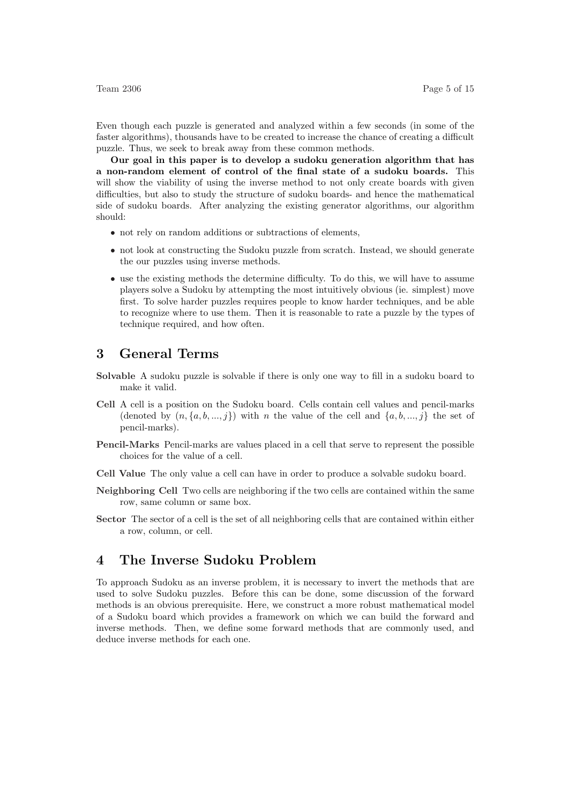Even though each puzzle is generated and analyzed within a few seconds (in some of the faster algorithms), thousands have to be created to increase the chance of creating a difficult puzzle. Thus, we seek to break away from these common methods.

Our goal in this paper is to develop a sudoku generation algorithm that has a non-random element of control of the final state of a sudoku boards. This will show the viability of using the inverse method to not only create boards with given difficulties, but also to study the structure of sudoku boards- and hence the mathematical side of sudoku boards. After analyzing the existing generator algorithms, our algorithm should:

- not rely on random additions or subtractions of elements,
- not look at constructing the Sudoku puzzle from scratch. Instead, we should generate the our puzzles using inverse methods.
- use the existing methods the determine difficulty. To do this, we will have to assume players solve a Sudoku by attempting the most intuitively obvious (ie. simplest) move first. To solve harder puzzles requires people to know harder techniques, and be able to recognize where to use them. Then it is reasonable to rate a puzzle by the types of technique required, and how often.

## 3 General Terms

- Solvable A sudoku puzzle is solvable if there is only one way to fill in a sudoku board to make it valid.
- Cell A cell is a position on the Sudoku board. Cells contain cell values and pencil-marks (denoted by  $(n, \{a, b, ..., j\})$  with n the value of the cell and  $\{a, b, ..., j\}$  the set of pencil-marks).
- Pencil-Marks Pencil-marks are values placed in a cell that serve to represent the possible choices for the value of a cell.
- Cell Value The only value a cell can have in order to produce a solvable sudoku board.
- Neighboring Cell Two cells are neighboring if the two cells are contained within the same row, same column or same box.
- Sector The sector of a cell is the set of all neighboring cells that are contained within either a row, column, or cell.

## 4 The Inverse Sudoku Problem

To approach Sudoku as an inverse problem, it is necessary to invert the methods that are used to solve Sudoku puzzles. Before this can be done, some discussion of the forward methods is an obvious prerequisite. Here, we construct a more robust mathematical model of a Sudoku board which provides a framework on which we can build the forward and inverse methods. Then, we define some forward methods that are commonly used, and deduce inverse methods for each one.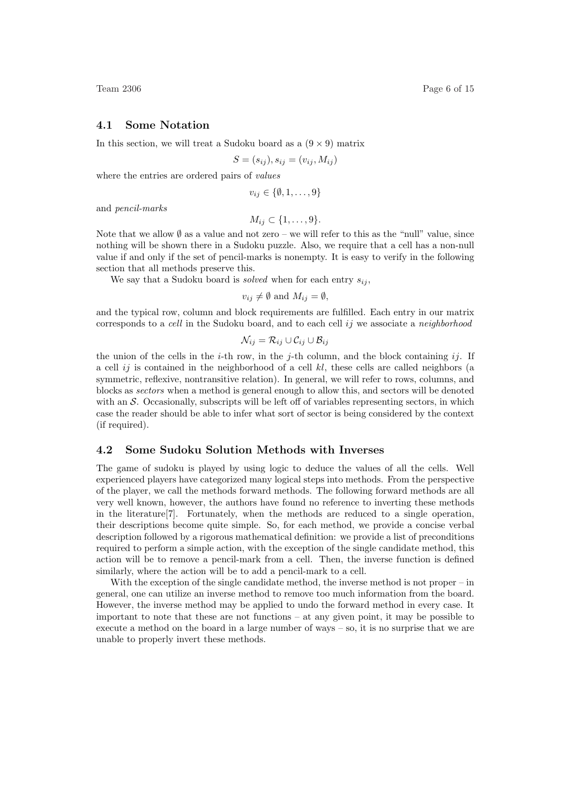#### 4.1 Some Notation

In this section, we will treat a Sudoku board as a  $(9 \times 9)$  matrix

$$
S = (s_{ij}), s_{ij} = (v_{ij}, M_{ij})
$$

where the entries are ordered pairs of *values* 

$$
v_{ij} \in \{\emptyset, 1, \ldots, 9\}
$$

and pencil-marks

$$
M_{ij} \subset \{1,\ldots,9\}.
$$

Note that we allow  $\emptyset$  as a value and not zero – we will refer to this as the "null" value, since nothing will be shown there in a Sudoku puzzle. Also, we require that a cell has a non-null value if and only if the set of pencil-marks is nonempty. It is easy to verify in the following section that all methods preserve this.

We say that a Sudoku board is *solved* when for each entry  $s_{ij}$ ,

$$
v_{ij} \neq \emptyset
$$
 and  $M_{ij} = \emptyset$ ,

and the typical row, column and block requirements are fulfilled. Each entry in our matrix corresponds to a cell in the Sudoku board, and to each cell ij we associate a neighborhood

$$
\mathcal{N}_{ij} = \mathcal{R}_{ij} \cup \mathcal{C}_{ij} \cup \mathcal{B}_{ij}
$$

the union of the cells in the *i*-th row, in the *j*-th column, and the block containing ij. If a cell ij is contained in the neighborhood of a cell  $kl$ , these cells are called neighbors (a symmetric, reflexive, nontransitive relation). In general, we will refer to rows, columns, and blocks as sectors when a method is general enough to allow this, and sectors will be denoted with an  $S$ . Occasionally, subscripts will be left off of variables representing sectors, in which case the reader should be able to infer what sort of sector is being considered by the context (if required).

#### 4.2 Some Sudoku Solution Methods with Inverses

The game of sudoku is played by using logic to deduce the values of all the cells. Well experienced players have categorized many logical steps into methods. From the perspective of the player, we call the methods forward methods. The following forward methods are all very well known, however, the authors have found no reference to inverting these methods in the literature[7]. Fortunately, when the methods are reduced to a single operation, their descriptions become quite simple. So, for each method, we provide a concise verbal description followed by a rigorous mathematical definition: we provide a list of preconditions required to perform a simple action, with the exception of the single candidate method, this action will be to remove a pencil-mark from a cell. Then, the inverse function is defined similarly, where the action will be to add a pencil-mark to a cell.

With the exception of the single candidate method, the inverse method is not proper – in general, one can utilize an inverse method to remove too much information from the board. However, the inverse method may be applied to undo the forward method in every case. It important to note that these are not functions – at any given point, it may be possible to execute a method on the board in a large number of ways – so, it is no surprise that we are unable to properly invert these methods.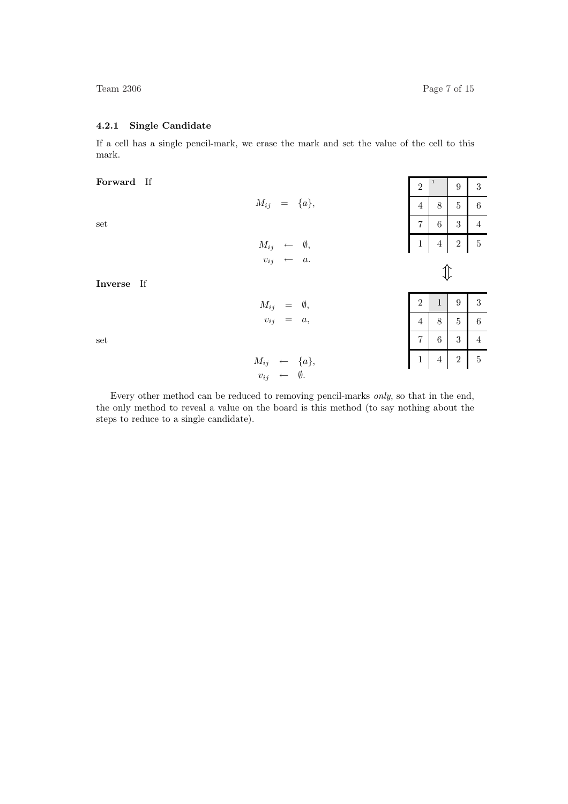$2^{-1}$  9 3

 $\overline{5}$ 

#### 4.2.1 Single Candidate

If a cell has a single pencil-mark, we erase the mark and set the value of the cell to this mark.

 $M_{ij} = \{a\},\$ 

 $M_{ij} \leftarrow \emptyset,$  $v_{ij} \leftarrow a$ .

 $M_{ij}$  =  $\emptyset$ ,  $v_{ij} = a$ ,

#### Forward If

set

Inverse If

set

| $\,4\,$        | 8                       | $\bf 5$          | 6              |
|----------------|-------------------------|------------------|----------------|
| $\overline{7}$ | 6                       | 3                | $\overline{4}$ |
| $\,1$          | $\overline{\mathbf{4}}$ | $\sqrt{2}$       | $\overline{5}$ |
|                | 1)                      |                  |                |
| $\sqrt{2}$     | $\mathbf{1}$            | $\boldsymbol{9}$ | 3              |
| $\overline{4}$ | 8                       | $\bf 5$          | 6              |
| $\overline{7}$ | $\overline{6}$          | 3                | $\overline{4}$ |
| $\mathbf{1}$   | $\overline{4}$          | $\overline{2}$   | $\overline{5}$ |

 $M_{ij} \leftarrow \{a\},\,$  $v_{ij}$  ← Ø.

Every other method can be reduced to removing pencil-marks only, so that in the end, the only method to reveal a value on the board is this method (to say nothing about the steps to reduce to a single candidate).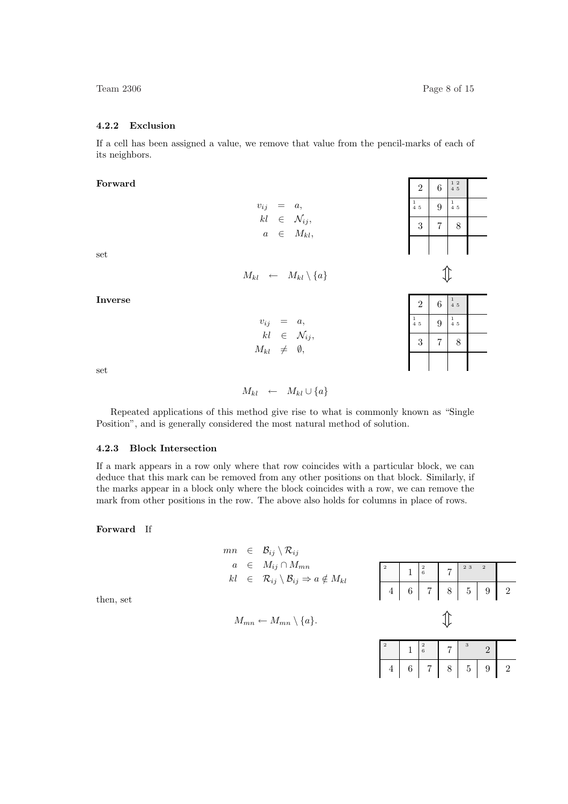#### 4.2.2 Exclusion

If a cell has been assigned a value, we remove that value from the pencil-marks of each of its neighbors.

Forward

 $v_{ij} = a$ ,  $kl \in \mathcal{N}_{ij},$  $a \in M_{kl}$ 

| $\overline{2}$                                | 6 | $\begin{smallmatrix}1&2\\4&5\end{smallmatrix}$ |  |
|-----------------------------------------------|---|------------------------------------------------|--|
| $\begin{smallmatrix}1\1\4\5\end{smallmatrix}$ | 9 | $\begin{smallmatrix}1\1\4\5\end{smallmatrix}$  |  |
| 3                                             |   | 8                                              |  |
|                                               |   |                                                |  |

 $\mathbb{1}$ 

1 4 5

1 4 5

 $2 \mid 6$ 

 $\frac{1}{4}$  5 9

 $3 \mid 7 \mid 8$ 

| $M_{kl} \leftarrow$ | $M_{kl} \setminus \{a\}$ |  |
|---------------------|--------------------------|--|
|                     |                          |  |

 $v_{ij} = a$ ,  $kl \in \mathcal{N}_{ij},$  $M_{kl}$   $\neq$  0,

Inverse

set

set

$$
M_{kl} \leftarrow M_{kl} \cup \{a\}
$$

Repeated applications of this method give rise to what is commonly known as "Single Position", and is generally considered the most natural method of solution.

#### 4.2.3 Block Intersection

If a mark appears in a row only where that row coincides with a particular block, we can deduce that this mark can be removed from any other positions on that block. Similarly, if the marks appear in a block only where the block coincides with a row, we can remove the mark from other positions in the row. The above also holds for columns in place of rows.

Forward If

then, set

$$
mn \in \mathcal{B}_{ij} \setminus \mathcal{R}_{ij}
$$
\n
$$
a \in M_{ij} \cap M_{mn}
$$
\n
$$
kl \in \mathcal{R}_{ij} \setminus \mathcal{B}_{ij} \Rightarrow a \notin M_{kl}
$$
\n
$$
4 \mid 6 \mid 7 \mid 8 \mid 5 \mid 9 \mid 2
$$
\n
$$
M_{mn} \leftarrow M_{mn} \setminus \{a\}.
$$
\n
$$
\downarrow
$$
\n
$$
\downarrow
$$
\n
$$
\downarrow
$$
\n
$$
\downarrow
$$
\n
$$
\downarrow
$$
\n
$$
\downarrow
$$
\n
$$
\downarrow
$$
\n
$$
\downarrow
$$
\n
$$
\downarrow
$$
\n
$$
\downarrow
$$
\n
$$
\downarrow
$$
\n
$$
\downarrow
$$
\n
$$
\downarrow
$$
\n
$$
\downarrow
$$
\n
$$
\downarrow
$$
\n
$$
\downarrow
$$
\n
$$
\downarrow
$$
\n
$$
\downarrow
$$
\n
$$
\downarrow
$$
\n
$$
\downarrow
$$
\n
$$
\downarrow
$$
\n
$$
\downarrow
$$
\n
$$
\downarrow
$$
\n
$$
\downarrow
$$
\n
$$
\downarrow
$$
\n
$$
\downarrow
$$
\n
$$
\downarrow
$$
\n
$$
\downarrow
$$
\n
$$
\downarrow
$$
\n
$$
\downarrow
$$
\n
$$
\downarrow
$$
\n
$$
\downarrow
$$
\n
$$
\downarrow
$$
\n
$$
\downarrow
$$
\n
$$
\downarrow
$$
\n
$$
\downarrow
$$
\n
$$
\downarrow
$$
\n
$$
\downarrow
$$
\n
$$
\downarrow
$$
\n
$$
\downarrow
$$
\n
$$
\downarrow
$$
\n
$$
\downarrow
$$
\n
$$
\downarrow
$$
\n
$$
\downarrow
$$
\n
$$
\downarrow
$$
\n
$$
\downarrow
$$
\n
$$
\downarrow
$$
\n
$$
\downarrow
$$
\n
$$
\downarrow
$$
\n
$$
\downarrow
$$
\n
$$
\downarrow
$$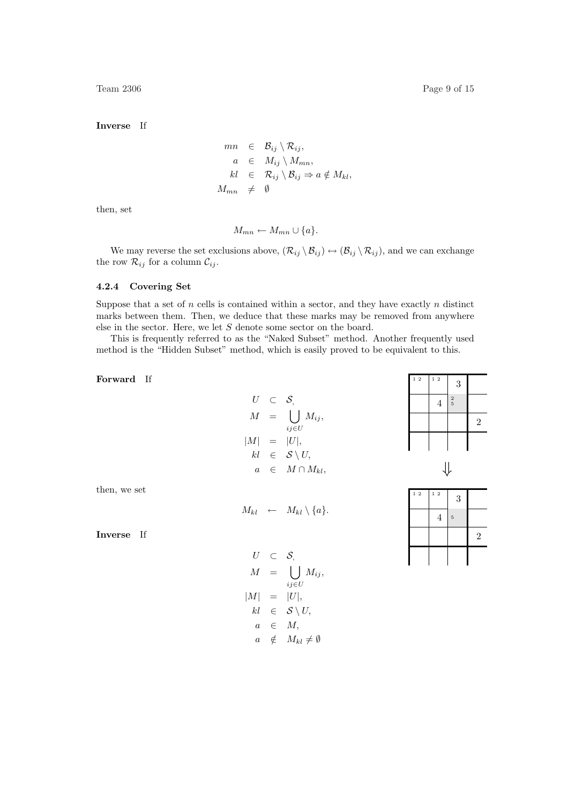Team 2306 Page 9 of 15

Inverse If

$$
mn \in \mathcal{B}_{ij} \setminus \mathcal{R}_{ij},
$$
  
\n
$$
a \in M_{ij} \setminus M_{mn},
$$
  
\n
$$
kl \in \mathcal{R}_{ij} \setminus \mathcal{B}_{ij} \Rightarrow a \notin M_{kl},
$$
  
\n
$$
M_{mn} \neq \emptyset
$$

then, set

$$
M_{mn} \leftarrow M_{mn} \cup \{a\}.
$$

We may reverse the set exclusions above,  $(\mathcal{R}_{ij} \setminus \mathcal{B}_{ij}) \leftrightarrow (\mathcal{B}_{ij} \setminus \mathcal{R}_{ij})$ , and we can exchange the row  $\mathcal{R}_{ij}$  for a column  $\mathcal{C}_{ij}.$ 

#### 4.2.4 Covering Set

Suppose that a set of  $n$  cells is contained within a sector, and they have exactly  $n$  distinct marks between them. Then, we deduce that these marks may be removed from anywhere else in the sector. Here, we let S denote some sector on the board.

This is frequently referred to as the "Naked Subset" method. Another frequently used method is the "Hidden Subset" method, which is easily proved to be equivalent to this.

Forward If

$$
U \subset S,
$$
  
\n
$$
M = \bigcup_{ij \in U} M_{ij},
$$
  
\n
$$
|M| = |U|,
$$
  
\n
$$
kl \in S \setminus U,
$$
  
\n
$$
a \in M \cap M_{kl},
$$

| $1\,2$ | $1\,$ $2\,$    | 3                                     |                |
|--------|----------------|---------------------------------------|----------------|
|        | $\overline{4}$ | $\begin{array}{c} 2 \\ 5 \end{array}$ |                |
|        |                |                                       | $\overline{2}$ |
|        |                |                                       |                |
|        |                |                                       |                |

$$
\Downarrow
$$

then, we set

$$
M_{kl} \quad \leftarrow \quad M_{kl} \setminus \{a\}.
$$

Inverse If

$$
U \subset S,
$$
  
\n
$$
M = \bigcup_{ij \in U} M_{ij},
$$
  
\n
$$
|M| = |U|,
$$
  
\n
$$
kl \in S \setminus U,
$$
  
\n
$$
a \in M,
$$
  
\n
$$
a \notin M_{kl} \neq \emptyset
$$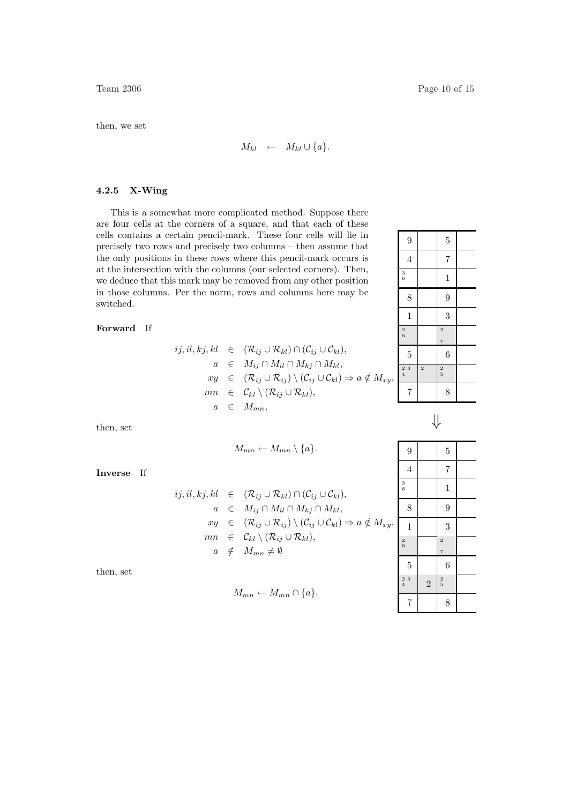then, we set

$$
M_{kl} \leftarrow M_{kl} \cup \{a\}.
$$

#### 4.2.5 X-Wing

This is a somewhat more complicated method. Suppose there are four cells at the corners of a square, and that each of these cells contains a certain pencil-mark. These four cells will lie in precisely two rows and precisely two columns – then assume that the only positions in these rows where this pencil-mark occurs is at the intersection with the columns (our selected corners). Then, we deduce that this mark may be removed from any other position in those columns. Per the norm, rows and columns here may be switched.

#### Forward If

$$
ij, il, kj, kl \in (\mathcal{R}_{ij} \cup \mathcal{R}_{kl}) \cap (\mathcal{C}_{ij} \cup \mathcal{C}_{kl}),
$$
  
\n
$$
a \in M_{ij} \cap M_{il} \cap M_{kj} \cap M_{kl},
$$
  
\n
$$
xy \in (\mathcal{R}_{ij} \cup \mathcal{R}_{ij}) \setminus (\mathcal{C}_{ij} \cup \mathcal{C}_{kl}) \Rightarrow a \notin M_{xy},
$$
  
\n
$$
mn \in \mathcal{C}_{kl} \setminus (\mathcal{R}_{ij} \cup \mathcal{R}_{kl}),
$$
  
\n
$$
a \in M_{mn},
$$

then, set

$$
M_{mn} \leftarrow M_{mn} \setminus \{a\}.
$$

Inverse If

$$
ij, il, kj, kl \in (\mathcal{R}_{ij} \cup \mathcal{R}_{kl}) \cap (\mathcal{C}_{ij} \cup \mathcal{C}_{kl}),
$$
  
\n
$$
a \in M_{ij} \cap M_{il} \cap M_{kj} \cap M_{kl},
$$
  
\n
$$
xy \in (\mathcal{R}_{ij} \cup \mathcal{R}_{ij}) \setminus (\mathcal{C}_{ij} \cup \mathcal{C}_{kl}) \Rightarrow a \notin M_{xy},
$$
  
\n
$$
mn \in \mathcal{C}_{kl} \setminus (\mathcal{R}_{ij} \cup \mathcal{R}_{kl}),
$$
  
\n
$$
a \notin M_{mn} \neq \emptyset
$$

then, set

$$
M_{mn} \leftarrow M_{mn} \cap \{a\}.
$$

| 9                                            |                         | $\overline{5}$                        |  |
|----------------------------------------------|-------------------------|---------------------------------------|--|
| $\overline{4}$                               |                         | $\overline{7}$                        |  |
| $\begin{array}{c} 3 \\ 6 \end{array}$        |                         | $\mathbf{1}$                          |  |
| 8                                            |                         | 9                                     |  |
| $\mathbf{1}$                                 |                         | 3                                     |  |
| $\begin{array}{c} 2 \\ 6 \end{array}$        |                         | $\overline{2}$<br>$\overline{7}$      |  |
| 5                                            |                         | 6                                     |  |
| $\begin{smallmatrix}2&3\\4\end{smallmatrix}$ | $\overline{\mathbf{c}}$ | $\begin{array}{c} 2 \\ 5 \end{array}$ |  |
| $\overline{7}$                               |                         | 8                                     |  |
|                                              | $\cdot$ $\cdot$         |                                       |  |

| ٠ | ۰.<br>I<br>ł |  |
|---|--------------|--|

| 9                                         |                | $\overline{5}$                            |  |
|-------------------------------------------|----------------|-------------------------------------------|--|
| $\overline{4}$                            |                | $\overline{7}$                            |  |
| $\begin{matrix} 3 \\ 6 \end{matrix}$      |                | $\mathbf{1}$                              |  |
| 8                                         |                | 9                                         |  |
| $\mathbf{1}$                              |                | 3                                         |  |
| $\begin{array}{c} 2 \\ 6 \end{array}$     |                | $\overline{\mathbf{c}}$<br>$\overline{7}$ |  |
| $\overline{5}$                            |                | 6                                         |  |
| $\begin{array}{c} 2 \ 3 \\ 4 \end{array}$ | $\overline{2}$ | $\begin{array}{c} 2 \\ 5 \end{array}$     |  |
| $\overline{7}$                            |                | 8                                         |  |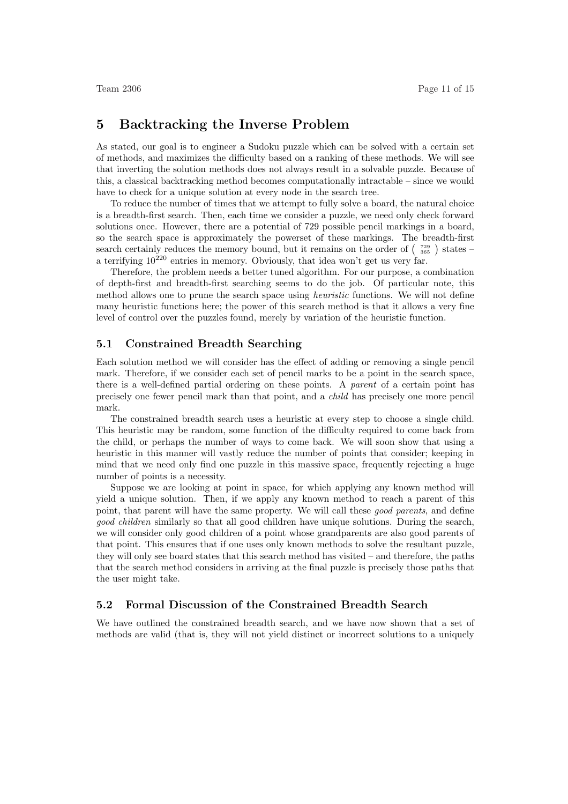## 5 Backtracking the Inverse Problem

As stated, our goal is to engineer a Sudoku puzzle which can be solved with a certain set of methods, and maximizes the difficulty based on a ranking of these methods. We will see that inverting the solution methods does not always result in a solvable puzzle. Because of this, a classical backtracking method becomes computationally intractable – since we would have to check for a unique solution at every node in the search tree.

To reduce the number of times that we attempt to fully solve a board, the natural choice is a breadth-first search. Then, each time we consider a puzzle, we need only check forward solutions once. However, there are a potential of 729 possible pencil markings in a board, so the search space is approximately the powerset of these markings. The breadth-first so the search space is approximately the powerset of these markings. The breadth-first<br>search certainly reduces the memory bound, but it remains on the order of  $\left(\begin{array}{c} 729 \\ 365 \end{array}\right)$  states – a terrifying  $10^{220}$  entries in memory. Obviously, that idea won't get us very far.

Therefore, the problem needs a better tuned algorithm. For our purpose, a combination of depth-first and breadth-first searching seems to do the job. Of particular note, this method allows one to prune the search space using heuristic functions. We will not define many heuristic functions here; the power of this search method is that it allows a very fine level of control over the puzzles found, merely by variation of the heuristic function.

#### 5.1 Constrained Breadth Searching

Each solution method we will consider has the effect of adding or removing a single pencil mark. Therefore, if we consider each set of pencil marks to be a point in the search space, there is a well-defined partial ordering on these points. A parent of a certain point has precisely one fewer pencil mark than that point, and a child has precisely one more pencil mark.

The constrained breadth search uses a heuristic at every step to choose a single child. This heuristic may be random, some function of the difficulty required to come back from the child, or perhaps the number of ways to come back. We will soon show that using a heuristic in this manner will vastly reduce the number of points that consider; keeping in mind that we need only find one puzzle in this massive space, frequently rejecting a huge number of points is a necessity.

Suppose we are looking at point in space, for which applying any known method will yield a unique solution. Then, if we apply any known method to reach a parent of this point, that parent will have the same property. We will call these good parents, and define good children similarly so that all good children have unique solutions. During the search, we will consider only good children of a point whose grandparents are also good parents of that point. This ensures that if one uses only known methods to solve the resultant puzzle, they will only see board states that this search method has visited – and therefore, the paths that the search method considers in arriving at the final puzzle is precisely those paths that the user might take.

#### 5.2 Formal Discussion of the Constrained Breadth Search

We have outlined the constrained breadth search, and we have now shown that a set of methods are valid (that is, they will not yield distinct or incorrect solutions to a uniquely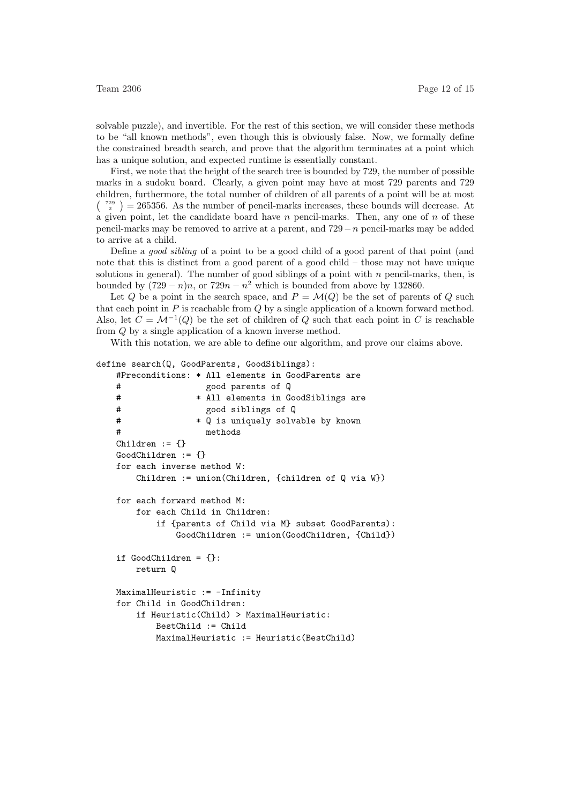solvable puzzle), and invertible. For the rest of this section, we will consider these methods to be "all known methods", even though this is obviously false. Now, we formally define the constrained breadth search, and prove that the algorithm terminates at a point which has a unique solution, and expected runtime is essentially constant.

First, we note that the height of the search tree is bounded by 729, the number of possible marks in a sudoku board. Clearly, a given point may have at most 729 parents and 729 children, furthermore, the total number of children of all parents of a point will be at most  $\binom{729}{2}$  = 265356. As the number of pencil-marks increases, these bounds will decrease. At a given point, let the candidate board have  $n$  pencil-marks. Then, any one of  $n$  of these pencil-marks may be removed to arrive at a parent, and 729−n pencil-marks may be added to arrive at a child.

Define a good sibling of a point to be a good child of a good parent of that point (and note that this is distinct from a good parent of a good child – those may not have unique solutions in general). The number of good siblings of a point with  $n$  pencil-marks, then, is bounded by  $(729 - n)n$ , or  $729n - n^2$  which is bounded from above by 132860.

Let Q be a point in the search space, and  $P = \mathcal{M}(Q)$  be the set of parents of Q such that each point in  $P$  is reachable from  $Q$  by a single application of a known forward method. Also, let  $C = \mathcal{M}^{-1}(Q)$  be the set of children of Q such that each point in C is reachable from Q by a single application of a known inverse method.

With this notation, we are able to define our algorithm, and prove our claims above.

```
define search(Q, GoodParents, GoodSiblings):
   #Preconditions: * All elements in GoodParents are
   # good parents of Q
   # * All elements in GoodSiblings are
   # good siblings of Q
   # * Q is uniquely solvable by known
   # methods
   Children := \{\}GoodChildren := {}
   for each inverse method W:
       Children := union(Children, {children of Q via W})
   for each forward method M:
       for each Child in Children:
           if {parents of Child via M} subset GoodParents):
              GoodChildren := union(GoodChildren, {Child})
   if GoodChildren = {}:
       return Q
   MaximalHeuristic := -Infinity
   for Child in GoodChildren:
       if Heuristic(Child) > MaximalHeuristic:
          BestChild := Child
          MaximalHeuristic := Heuristic(BestChild)
```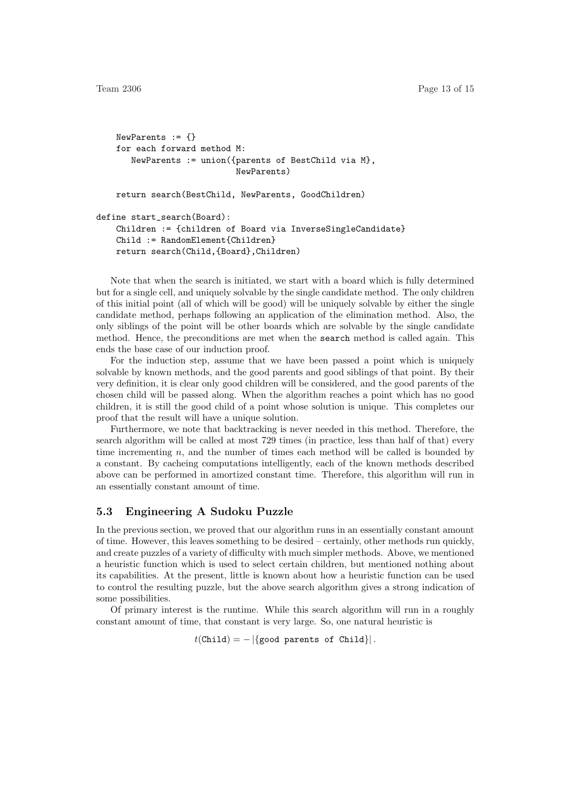```
NewParents := {}
   for each forward method M:
       NewParents := union({parents of BestChild via M},
                            NewParents)
   return search(BestChild, NewParents, GoodChildren)
define start_search(Board):
   Children := {children of Board via InverseSingleCandidate}
   Child := RandomElement{Children}
   return search(Child,{Board},Children)
```
Note that when the search is initiated, we start with a board which is fully determined but for a single cell, and uniquely solvable by the single candidate method. The only children of this initial point (all of which will be good) will be uniquely solvable by either the single candidate method, perhaps following an application of the elimination method. Also, the only siblings of the point will be other boards which are solvable by the single candidate method. Hence, the preconditions are met when the search method is called again. This ends the base case of our induction proof.

For the induction step, assume that we have been passed a point which is uniquely solvable by known methods, and the good parents and good siblings of that point. By their very definition, it is clear only good children will be considered, and the good parents of the chosen child will be passed along. When the algorithm reaches a point which has no good children, it is still the good child of a point whose solution is unique. This completes our proof that the result will have a unique solution.

Furthermore, we note that backtracking is never needed in this method. Therefore, the search algorithm will be called at most 729 times (in practice, less than half of that) every time incrementing  $n$ , and the number of times each method will be called is bounded by a constant. By cacheing computations intelligently, each of the known methods described above can be performed in amortized constant time. Therefore, this algorithm will run in an essentially constant amount of time.

#### 5.3 Engineering A Sudoku Puzzle

In the previous section, we proved that our algorithm runs in an essentially constant amount of time. However, this leaves something to be desired – certainly, other methods run quickly, and create puzzles of a variety of difficulty with much simpler methods. Above, we mentioned a heuristic function which is used to select certain children, but mentioned nothing about its capabilities. At the present, little is known about how a heuristic function can be used to control the resulting puzzle, but the above search algorithm gives a strong indication of some possibilities.

Of primary interest is the runtime. While this search algorithm will run in a roughly constant amount of time, that constant is very large. So, one natural heuristic is

```
t(Child) = - |\{good parents of Child\}|.
```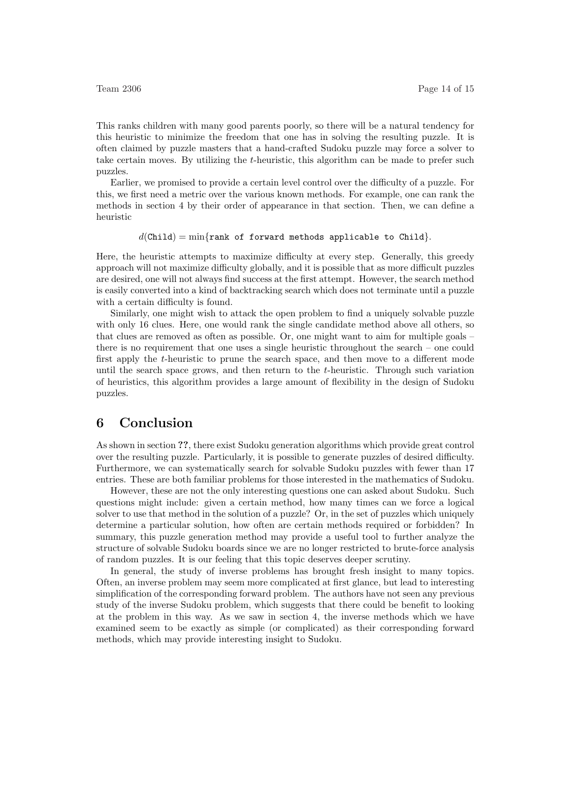This ranks children with many good parents poorly, so there will be a natural tendency for this heuristic to minimize the freedom that one has in solving the resulting puzzle. It is often claimed by puzzle masters that a hand-crafted Sudoku puzzle may force a solver to take certain moves. By utilizing the t-heuristic, this algorithm can be made to prefer such puzzles.

Earlier, we promised to provide a certain level control over the difficulty of a puzzle. For this, we first need a metric over the various known methods. For example, one can rank the methods in section 4 by their order of appearance in that section. Then, we can define a heuristic

#### $d(Child) = min\{rank\ of\ forward\ methods\ applicable\ to\ Child\}.$

Here, the heuristic attempts to maximize difficulty at every step. Generally, this greedy approach will not maximize difficulty globally, and it is possible that as more difficult puzzles are desired, one will not always find success at the first attempt. However, the search method is easily converted into a kind of backtracking search which does not terminate until a puzzle with a certain difficulty is found.

Similarly, one might wish to attack the open problem to find a uniquely solvable puzzle with only 16 clues. Here, one would rank the single candidate method above all others, so that clues are removed as often as possible. Or, one might want to aim for multiple goals – there is no requirement that one uses a single heuristic throughout the search – one could first apply the t-heuristic to prune the search space, and then move to a different mode until the search space grows, and then return to the  $t$ -heuristic. Through such variation of heuristics, this algorithm provides a large amount of flexibility in the design of Sudoku puzzles.

## 6 Conclusion

As shown in section ??, there exist Sudoku generation algorithms which provide great control over the resulting puzzle. Particularly, it is possible to generate puzzles of desired difficulty. Furthermore, we can systematically search for solvable Sudoku puzzles with fewer than 17 entries. These are both familiar problems for those interested in the mathematics of Sudoku.

However, these are not the only interesting questions one can asked about Sudoku. Such questions might include: given a certain method, how many times can we force a logical solver to use that method in the solution of a puzzle? Or, in the set of puzzles which uniquely determine a particular solution, how often are certain methods required or forbidden? In summary, this puzzle generation method may provide a useful tool to further analyze the structure of solvable Sudoku boards since we are no longer restricted to brute-force analysis of random puzzles. It is our feeling that this topic deserves deeper scrutiny.

In general, the study of inverse problems has brought fresh insight to many topics. Often, an inverse problem may seem more complicated at first glance, but lead to interesting simplification of the corresponding forward problem. The authors have not seen any previous study of the inverse Sudoku problem, which suggests that there could be benefit to looking at the problem in this way. As we saw in section 4, the inverse methods which we have examined seem to be exactly as simple (or complicated) as their corresponding forward methods, which may provide interesting insight to Sudoku.